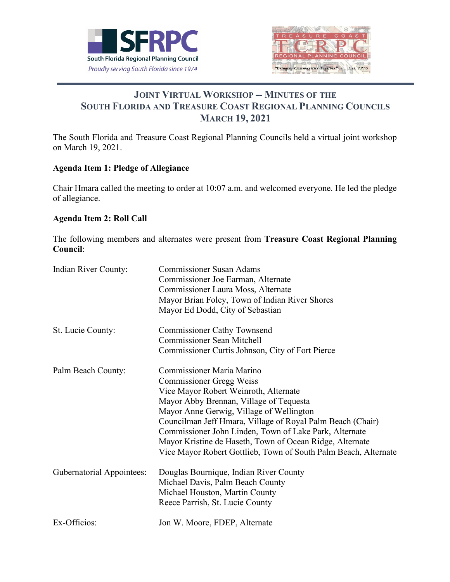



# **JOINT VIRTUAL WORKSHOP -- MINUTES OF THE SOUTH FLORIDA AND TREASURE COAST REGIONAL PLANNING COUNCILS MARCH 19, 2021**

The South Florida and Treasure Coast Regional Planning Councils held a virtual joint workshop on March 19, 2021.

# **Agenda Item 1: Pledge of Allegiance**

Chair Hmara called the meeting to order at 10:07 a.m. and welcomed everyone. He led the pledge of allegiance.

#### **Agenda Item 2: Roll Call**

The following members and alternates were present from **Treasure Coast Regional Planning Council**:

| Indian River County:             | <b>Commissioner Susan Adams</b><br>Commissioner Joe Earman, Alternate<br>Commissioner Laura Moss, Alternate<br>Mayor Brian Foley, Town of Indian River Shores<br>Mayor Ed Dodd, City of Sebastian                                                                                                                                                                                                                                                          |
|----------------------------------|------------------------------------------------------------------------------------------------------------------------------------------------------------------------------------------------------------------------------------------------------------------------------------------------------------------------------------------------------------------------------------------------------------------------------------------------------------|
| St. Lucie County:                | <b>Commissioner Cathy Townsend</b><br><b>Commissioner Sean Mitchell</b><br>Commissioner Curtis Johnson, City of Fort Pierce                                                                                                                                                                                                                                                                                                                                |
| Palm Beach County:               | <b>Commissioner Maria Marino</b><br><b>Commissioner Gregg Weiss</b><br>Vice Mayor Robert Weinroth, Alternate<br>Mayor Abby Brennan, Village of Tequesta<br>Mayor Anne Gerwig, Village of Wellington<br>Councilman Jeff Hmara, Village of Royal Palm Beach (Chair)<br>Commissioner John Linden, Town of Lake Park, Alternate<br>Mayor Kristine de Haseth, Town of Ocean Ridge, Alternate<br>Vice Mayor Robert Gottlieb, Town of South Palm Beach, Alternate |
| <b>Gubernatorial Appointees:</b> | Douglas Bournique, Indian River County<br>Michael Davis, Palm Beach County<br>Michael Houston, Martin County<br>Reece Parrish, St. Lucie County                                                                                                                                                                                                                                                                                                            |
| Ex-Officios:                     | Jon W. Moore, FDEP, Alternate                                                                                                                                                                                                                                                                                                                                                                                                                              |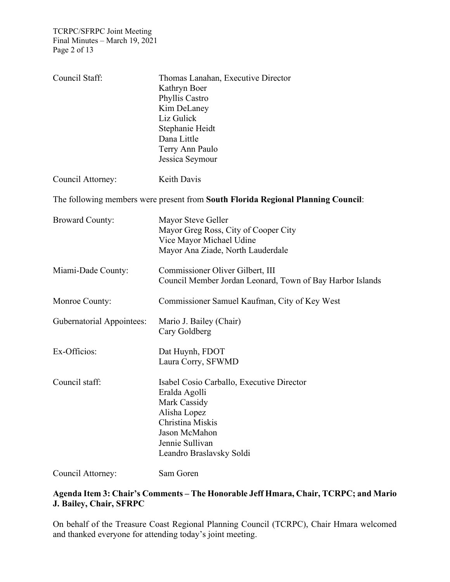| Council Staff:                   | Thomas Lanahan, Executive Director<br>Kathryn Boer<br>Phyllis Castro<br>Kim DeLaney<br>Liz Gulick<br>Stephanie Heidt<br>Dana Little<br>Terry Ann Paulo<br>Jessica Seymour      |
|----------------------------------|--------------------------------------------------------------------------------------------------------------------------------------------------------------------------------|
| Council Attorney:                | Keith Davis                                                                                                                                                                    |
|                                  | The following members were present from South Florida Regional Planning Council:                                                                                               |
| <b>Broward County:</b>           | Mayor Steve Geller<br>Mayor Greg Ross, City of Cooper City<br>Vice Mayor Michael Udine<br>Mayor Ana Ziade, North Lauderdale                                                    |
| Miami-Dade County:               | Commissioner Oliver Gilbert, III<br>Council Member Jordan Leonard, Town of Bay Harbor Islands                                                                                  |
| Monroe County:                   | Commissioner Samuel Kaufman, City of Key West                                                                                                                                  |
| <b>Gubernatorial Appointees:</b> | Mario J. Bailey (Chair)<br>Cary Goldberg                                                                                                                                       |
| Ex-Officios:                     | Dat Huynh, FDOT<br>Laura Corry, SFWMD                                                                                                                                          |
| Council staff:                   | Isabel Cosio Carballo, Executive Director<br>Eralda Agolli<br>Mark Cassidy<br>Alisha Lopez<br>Christina Miskis<br>Jason McMahon<br>Jennie Sullivan<br>Leandro Braslavsky Soldi |
| Council Attorney:                | Sam Goren                                                                                                                                                                      |

# **Agenda Item 3: Chair's Comments – The Honorable Jeff Hmara, Chair, TCRPC; and Mario J. Bailey, Chair, SFRPC**

On behalf of the Treasure Coast Regional Planning Council (TCRPC), Chair Hmara welcomed and thanked everyone for attending today's joint meeting.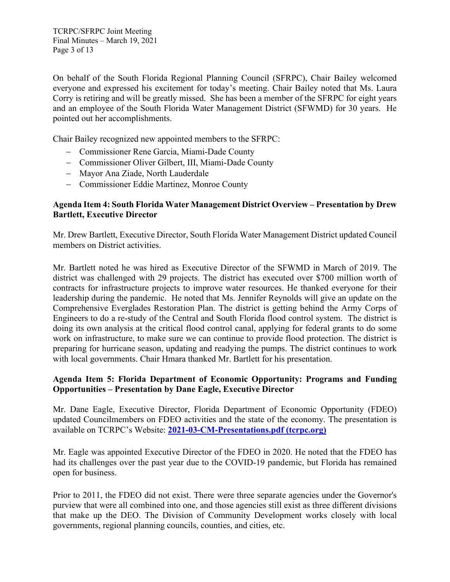On behalf of the South Florida Regional Planning Council (SFRPC), Chair Bailey welcomed everyone and expressed his excitement for today's meeting. Chair Bailey noted that Ms. Laura Corry is retiring and will be greatly missed. She has been a member of the SFRPC for eight years and an employee of the South Florida Water Management District (SFWMD) for 30 years. He pointed out her accomplishments.

Chair Bailey recognized new appointed members to the SFRPC:

- − Commissioner Rene Garcia, Miami-Dade County
- − Commissioner Oliver Gilbert, III, Miami-Dade County
- − Mayor Ana Ziade, North Lauderdale
- − Commissioner Eddie Martinez, Monroe County

#### **Agenda Item 4: South Florida Water Management District Overview – Presentation by Drew Bartlett, Executive Director**

Mr. Drew Bartlett, Executive Director, South Florida Water Management District updated Council members on District activities.

Mr. Bartlett noted he was hired as Executive Director of the SFWMD in March of 2019. The district was challenged with 29 projects. The district has executed over \$700 million worth of contracts for infrastructure projects to improve water resources. He thanked everyone for their leadership during the pandemic. He noted that Ms. Jennifer Reynolds will give an update on the Comprehensive Everglades Restoration Plan. The district is getting behind the Army Corps of Engineers to do a re-study of the Central and South Florida flood control system. The district is doing its own analysis at the critical flood control canal, applying for federal grants to do some work on infrastructure, to make sure we can continue to provide flood protection. The district is preparing for hurricane season, updating and readying the pumps. The district continues to work with local governments. Chair Hmara thanked Mr. Bartlett for his presentation.

#### **Agenda Item 5: Florida Department of Economic Opportunity: Programs and Funding Opportunities – Presentation by Dane Eagle, Executive Director**

Mr. Dane Eagle, Executive Director, Florida Department of Economic Opportunity (FDEO) updated Councilmembers on FDEO activities and the state of the economy. The presentation is available on TCRPC's Website: **[2021-03-CM-Presentations.pdf \(tcrpc.org\)](https://tcrpc.org/wp-content/uploads/2021/03/2021-03-CM-Presentations.pdf)**

Mr. Eagle was appointed Executive Director of the FDEO in 2020. He noted that the FDEO has had its challenges over the past year due to the COVID-19 pandemic, but Florida has remained open for business.

Prior to 2011, the FDEO did not exist. There were three separate agencies under the Governor's purview that were all combined into one, and those agencies still exist as three different divisions that make up the DEO. The Division of Community Development works closely with local governments, regional planning councils, counties, and cities, etc.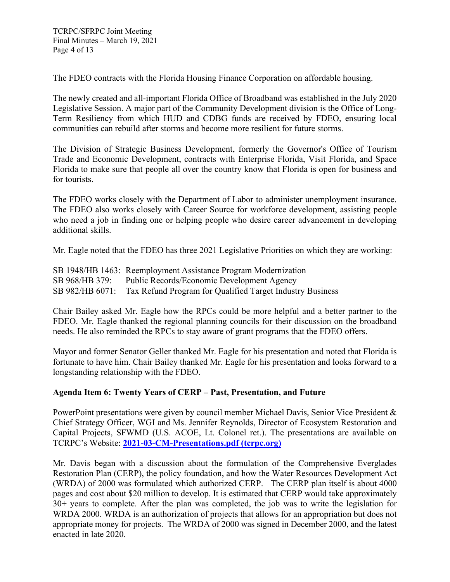The FDEO contracts with the Florida Housing Finance Corporation on affordable housing.

The newly created and all-important Florida Office of Broadband was established in the July 2020 Legislative Session. A major part of the Community Development division is the Office of Long-Term Resiliency from which HUD and CDBG funds are received by FDEO, ensuring local communities can rebuild after storms and become more resilient for future storms.

The Division of Strategic Business Development, formerly the Governor's Office of Tourism Trade and Economic Development, contracts with Enterprise Florida, Visit Florida, and Space Florida to make sure that people all over the country know that Florida is open for business and for tourists.

The FDEO works closely with the Department of Labor to administer unemployment insurance. The FDEO also works closely with Career Source for workforce development, assisting people who need a job in finding one or helping people who desire career advancement in developing additional skills.

Mr. Eagle noted that the FDEO has three 2021 Legislative Priorities on which they are working:

SB 1948/HB 1463: Reemployment Assistance Program Modernization SB 968/HB 379: Public Records/Economic Development Agency SB 982/HB 6071: Tax Refund Program for Qualified Target Industry Business

Chair Bailey asked Mr. Eagle how the RPCs could be more helpful and a better partner to the FDEO. Mr. Eagle thanked the regional planning councils for their discussion on the broadband needs. He also reminded the RPCs to stay aware of grant programs that the FDEO offers.

Mayor and former Senator Geller thanked Mr. Eagle for his presentation and noted that Florida is fortunate to have him. Chair Bailey thanked Mr. Eagle for his presentation and looks forward to a longstanding relationship with the FDEO.

# **Agenda Item 6: Twenty Years of CERP – Past, Presentation, and Future**

PowerPoint presentations were given by council member Michael Davis, Senior Vice President & Chief Strategy Officer, WGI and Ms. Jennifer Reynolds, Director of Ecosystem Restoration and Capital Projects, SFWMD (U.S. ACOE, Lt. Colonel ret.). The presentations are available on TCRPC's Website: **[2021-03-CM-Presentations.pdf \(tcrpc.org\)](https://tcrpc.org/wp-content/uploads/2021/03/2021-03-CM-Presentations.pdf)**

Mr. Davis began with a discussion about the formulation of the Comprehensive Everglades Restoration Plan (CERP), the policy foundation, and how the Water Resources Development Act (WRDA) of 2000 was formulated which authorized CERP. The CERP plan itself is about 4000 pages and cost about \$20 million to develop. It is estimated that CERP would take approximately 30+ years to complete. After the plan was completed, the job was to write the legislation for WRDA 2000. WRDA is an authorization of projects that allows for an appropriation but does not appropriate money for projects. The WRDA of 2000 was signed in December 2000, and the latest enacted in late 2020.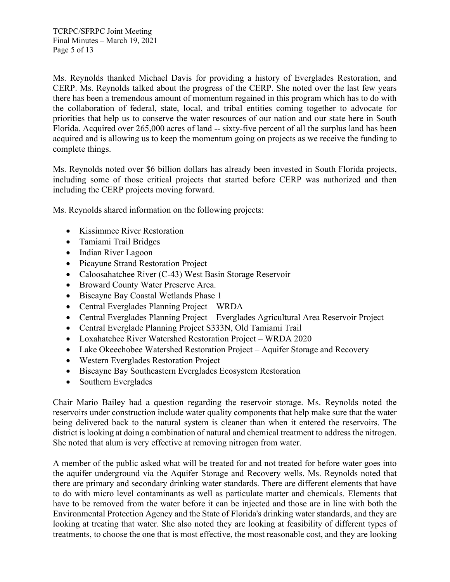Ms. Reynolds thanked Michael Davis for providing a history of Everglades Restoration, and CERP. Ms. Reynolds talked about the progress of the CERP. She noted over the last few years there has been a tremendous amount of momentum regained in this program which has to do with the collaboration of federal, state, local, and tribal entities coming together to advocate for priorities that help us to conserve the water resources of our nation and our state here in South Florida. Acquired over 265,000 acres of land -- sixty-five percent of all the surplus land has been acquired and is allowing us to keep the momentum going on projects as we receive the funding to complete things.

Ms. Reynolds noted over \$6 billion dollars has already been invested in South Florida projects, including some of those critical projects that started before CERP was authorized and then including the CERP projects moving forward.

Ms. Reynolds shared information on the following projects:

- Kissimmee River Restoration
- Tamiami Trail Bridges
- Indian River Lagoon
- Picayune Strand Restoration Project
- Caloosahatchee River (C-43) West Basin Storage Reservoir
- Broward County Water Preserve Area.
- Biscayne Bay Coastal Wetlands Phase 1
- Central Everglades Planning Project WRDA
- Central Everglades Planning Project Everglades Agricultural Area Reservoir Project
- Central Everglade Planning Project S333N, Old Tamiami Trail
- Loxahatchee River Watershed Restoration Project WRDA 2020
- Lake Okeechobee Watershed Restoration Project Aquifer Storage and Recovery
- Western Everglades Restoration Project
- Biscayne Bay Southeastern Everglades Ecosystem Restoration
- Southern Everglades

Chair Mario Bailey had a question regarding the reservoir storage. Ms. Reynolds noted the reservoirs under construction include water quality components that help make sure that the water being delivered back to the natural system is cleaner than when it entered the reservoirs. The district is looking at doing a combination of natural and chemical treatment to address the nitrogen. She noted that alum is very effective at removing nitrogen from water.

A member of the public asked what will be treated for and not treated for before water goes into the aquifer underground via the Aquifer Storage and Recovery wells. Ms. Reynolds noted that there are primary and secondary drinking water standards. There are different elements that have to do with micro level contaminants as well as particulate matter and chemicals. Elements that have to be removed from the water before it can be injected and those are in line with both the Environmental Protection Agency and the State of Florida's drinking water standards, and they are looking at treating that water. She also noted they are looking at feasibility of different types of treatments, to choose the one that is most effective, the most reasonable cost, and they are looking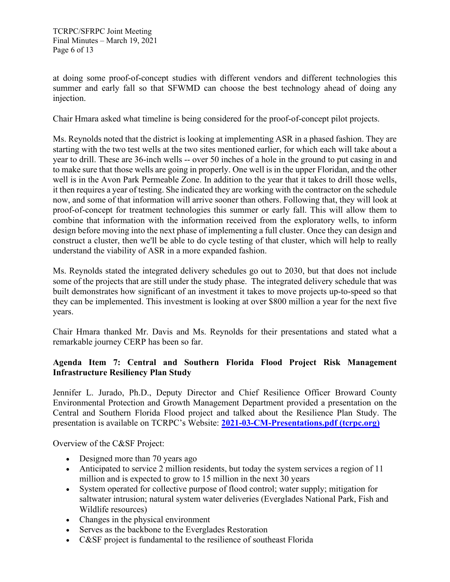at doing some proof-of-concept studies with different vendors and different technologies this summer and early fall so that SFWMD can choose the best technology ahead of doing any injection.

Chair Hmara asked what timeline is being considered for the proof-of-concept pilot projects.

Ms. Reynolds noted that the district is looking at implementing ASR in a phased fashion. They are starting with the two test wells at the two sites mentioned earlier, for which each will take about a year to drill. These are 36-inch wells -- over 50 inches of a hole in the ground to put casing in and to make sure that those wells are going in properly. One well is in the upper Floridan, and the other well is in the Avon Park Permeable Zone. In addition to the year that it takes to drill those wells, it then requires a year of testing. She indicated they are working with the contractor on the schedule now, and some of that information will arrive sooner than others. Following that, they will look at proof-of-concept for treatment technologies this summer or early fall. This will allow them to combine that information with the information received from the exploratory wells, to inform design before moving into the next phase of implementing a full cluster. Once they can design and construct a cluster, then we'll be able to do cycle testing of that cluster, which will help to really understand the viability of ASR in a more expanded fashion.

Ms. Reynolds stated the integrated delivery schedules go out to 2030, but that does not include some of the projects that are still under the study phase. The integrated delivery schedule that was built demonstrates how significant of an investment it takes to move projects up-to-speed so that they can be implemented. This investment is looking at over \$800 million a year for the next five years.

Chair Hmara thanked Mr. Davis and Ms. Reynolds for their presentations and stated what a remarkable journey CERP has been so far.

# **Agenda Item 7: Central and Southern Florida Flood Project Risk Management Infrastructure Resiliency Plan Study**

Jennifer L. Jurado, Ph.D., Deputy Director and Chief Resilience Officer Broward County Environmental Protection and Growth Management Department provided a presentation on the Central and Southern Florida Flood project and talked about the Resilience Plan Study. The presentation is available on TCRPC's Website: **[2021-03-CM-Presentations.pdf \(tcrpc.org\)](https://tcrpc.org/wp-content/uploads/2021/03/2021-03-CM-Presentations.pdf)**

Overview of the C&SF Project:

- Designed more than 70 years ago
- Anticipated to service 2 million residents, but today the system services a region of 11 million and is expected to grow to 15 million in the next 30 years
- System operated for collective purpose of flood control; water supply; mitigation for saltwater intrusion; natural system water deliveries (Everglades National Park, Fish and Wildlife resources)
- Changes in the physical environment
- Serves as the backbone to the Everglades Restoration
- C&SF project is fundamental to the resilience of southeast Florida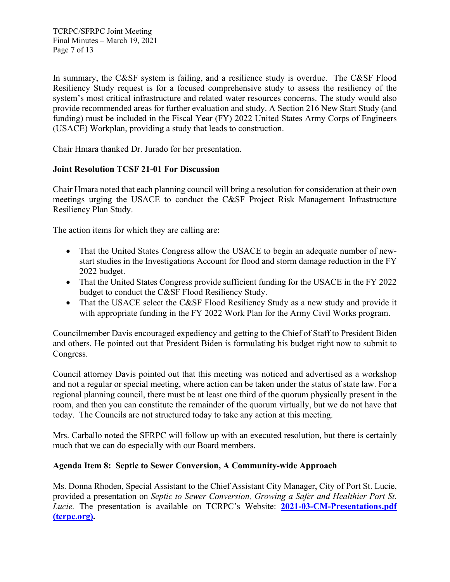TCRPC/SFRPC Joint Meeting Final Minutes – March 19, 2021 Page 7 of 13

In summary, the C&SF system is failing, and a resilience study is overdue. The C&SF Flood Resiliency Study request is for a focused comprehensive study to assess the resiliency of the system's most critical infrastructure and related water resources concerns. The study would also provide recommended areas for further evaluation and study. A Section 216 New Start Study (and funding) must be included in the Fiscal Year (FY) 2022 United States Army Corps of Engineers (USACE) Workplan, providing a study that leads to construction.

Chair Hmara thanked Dr. Jurado for her presentation.

# **Joint Resolution TCSF 21-01 For Discussion**

Chair Hmara noted that each planning council will bring a resolution for consideration at their own meetings urging the USACE to conduct the C&SF Project Risk Management Infrastructure Resiliency Plan Study.

The action items for which they are calling are:

- That the United States Congress allow the USACE to begin an adequate number of newstart studies in the Investigations Account for flood and storm damage reduction in the FY 2022 budget.
- That the United States Congress provide sufficient funding for the USACE in the FY 2022 budget to conduct the C&SF Flood Resiliency Study.
- That the USACE select the C&SF Flood Resiliency Study as a new study and provide it with appropriate funding in the FY 2022 Work Plan for the Army Civil Works program.

Councilmember Davis encouraged expediency and getting to the Chief of Staff to President Biden and others. He pointed out that President Biden is formulating his budget right now to submit to Congress.

Council attorney Davis pointed out that this meeting was noticed and advertised as a workshop and not a regular or special meeting, where action can be taken under the status of state law. For a regional planning council, there must be at least one third of the quorum physically present in the room, and then you can constitute the remainder of the quorum virtually, but we do not have that today. The Councils are not structured today to take any action at this meeting.

Mrs. Carballo noted the SFRPC will follow up with an executed resolution, but there is certainly much that we can do especially with our Board members.

#### **Agenda Item 8: Septic to Sewer Conversion, A Community-wide Approach**

Ms. Donna Rhoden, Special Assistant to the Chief Assistant City Manager, City of Port St. Lucie, provided a presentation on *Septic to Sewer Conversion, Growing a Safer and Healthier Port St. Lucie.* The presentation is available on TCRPC's Website: **[2021-03-CM-Presentations.pdf](https://tcrpc.org/wp-content/uploads/2021/03/2021-03-CM-Presentations.pdf)  [\(tcrpc.org\).](https://tcrpc.org/wp-content/uploads/2021/03/2021-03-CM-Presentations.pdf)**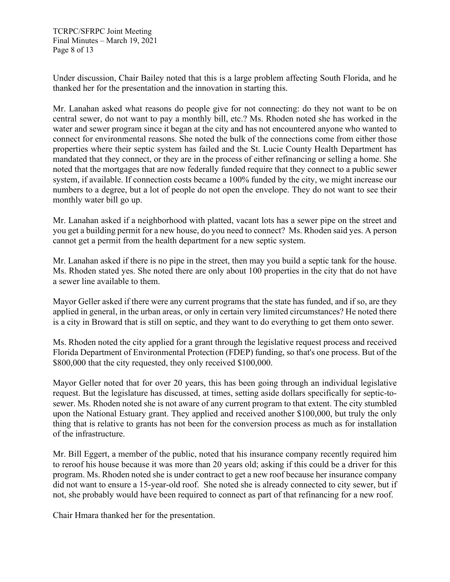Under discussion, Chair Bailey noted that this is a large problem affecting South Florida, and he thanked her for the presentation and the innovation in starting this.

Mr. Lanahan asked what reasons do people give for not connecting: do they not want to be on central sewer, do not want to pay a monthly bill, etc.? Ms. Rhoden noted she has worked in the water and sewer program since it began at the city and has not encountered anyone who wanted to connect for environmental reasons. She noted the bulk of the connections come from either those properties where their septic system has failed and the St. Lucie County Health Department has mandated that they connect, or they are in the process of either refinancing or selling a home. She noted that the mortgages that are now federally funded require that they connect to a public sewer system, if available. If connection costs became a 100% funded by the city, we might increase our numbers to a degree, but a lot of people do not open the envelope. They do not want to see their monthly water bill go up.

Mr. Lanahan asked if a neighborhood with platted, vacant lots has a sewer pipe on the street and you get a building permit for a new house, do you need to connect? Ms. Rhoden said yes. A person cannot get a permit from the health department for a new septic system.

Mr. Lanahan asked if there is no pipe in the street, then may you build a septic tank for the house. Ms. Rhoden stated yes. She noted there are only about 100 properties in the city that do not have a sewer line available to them.

Mayor Geller asked if there were any current programs that the state has funded, and if so, are they applied in general, in the urban areas, or only in certain very limited circumstances? He noted there is a city in Broward that is still on septic, and they want to do everything to get them onto sewer.

Ms. Rhoden noted the city applied for a grant through the legislative request process and received Florida Department of Environmental Protection (FDEP) funding, so that's one process. But of the \$800,000 that the city requested, they only received \$100,000.

Mayor Geller noted that for over 20 years, this has been going through an individual legislative request. But the legislature has discussed, at times, setting aside dollars specifically for septic-tosewer. Ms. Rhoden noted she is not aware of any current program to that extent. The city stumbled upon the National Estuary grant. They applied and received another \$100,000, but truly the only thing that is relative to grants has not been for the conversion process as much as for installation of the infrastructure.

Mr. Bill Eggert, a member of the public, noted that his insurance company recently required him to reroof his house because it was more than 20 years old; asking if this could be a driver for this program. Ms. Rhoden noted she is under contract to get a new roof because her insurance company did not want to ensure a 15-year-old roof. She noted she is already connected to city sewer, but if not, she probably would have been required to connect as part of that refinancing for a new roof.

Chair Hmara thanked her for the presentation.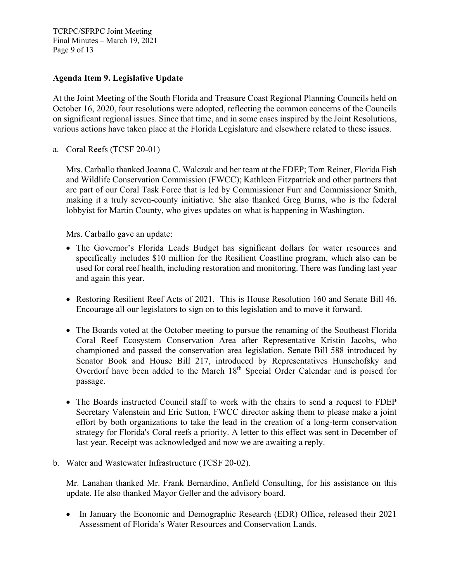TCRPC/SFRPC Joint Meeting Final Minutes – March 19, 2021 Page 9 of 13

#### **Agenda Item 9. Legislative Update**

At the Joint Meeting of the South Florida and Treasure Coast Regional Planning Councils held on October 16, 2020, four resolutions were adopted, reflecting the common concerns of the Councils on significant regional issues. Since that time, and in some cases inspired by the Joint Resolutions, various actions have taken place at the Florida Legislature and elsewhere related to these issues.

a. Coral Reefs (TCSF 20-01)

Mrs. Carballo thanked Joanna C. Walczak and her team at the FDEP; Tom Reiner, Florida Fish and Wildlife Conservation Commission (FWCC); Kathleen Fitzpatrick and other partners that are part of our Coral Task Force that is led by Commissioner Furr and Commissioner Smith, making it a truly seven-county initiative. She also thanked Greg Burns, who is the federal lobbyist for Martin County, who gives updates on what is happening in Washington.

Mrs. Carballo gave an update:

- The Governor's Florida Leads Budget has significant dollars for water resources and specifically includes \$10 million for the Resilient Coastline program, which also can be used for coral reef health, including restoration and monitoring. There was funding last year and again this year.
- Restoring Resilient Reef Acts of 2021. This is House Resolution 160 and Senate Bill 46. Encourage all our legislators to sign on to this legislation and to move it forward.
- The Boards voted at the October meeting to pursue the renaming of the Southeast Florida Coral Reef Ecosystem Conservation Area after Representative Kristin Jacobs, who championed and passed the conservation area legislation. Senate Bill 588 introduced by Senator Book and House Bill 217, introduced by Representatives Hunschofsky and Overdorf have been added to the March 18<sup>th</sup> Special Order Calendar and is poised for passage.
- The Boards instructed Council staff to work with the chairs to send a request to FDEP Secretary Valenstein and Eric Sutton, FWCC director asking them to please make a joint effort by both organizations to take the lead in the creation of a long-term conservation strategy for Florida's Coral reefs a priority. A letter to this effect was sent in December of last year. Receipt was acknowledged and now we are awaiting a reply.
- b. Water and Wastewater Infrastructure (TCSF 20-02).

Mr. Lanahan thanked Mr. Frank Bernardino, Anfield Consulting, for his assistance on this update. He also thanked Mayor Geller and the advisory board.

• In January the Economic and Demographic Research (EDR) Office, released their 2021 Assessment of Florida's Water Resources and Conservation Lands.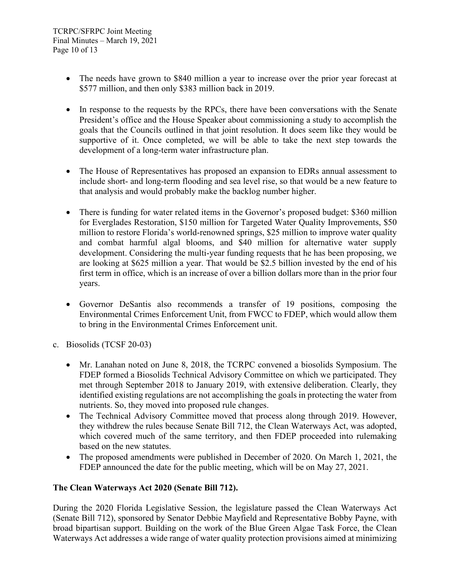- The needs have grown to \$840 million a year to increase over the prior year forecast at \$577 million, and then only \$383 million back in 2019.
- In response to the requests by the RPCs, there have been conversations with the Senate President's office and the House Speaker about commissioning a study to accomplish the goals that the Councils outlined in that joint resolution. It does seem like they would be supportive of it. Once completed, we will be able to take the next step towards the development of a long-term water infrastructure plan.
- The House of Representatives has proposed an expansion to EDRs annual assessment to include short- and long-term flooding and sea level rise, so that would be a new feature to that analysis and would probably make the backlog number higher.
- There is funding for water related items in the Governor's proposed budget: \$360 million for Everglades Restoration, \$150 million for Targeted Water Quality Improvements, \$50 million to restore Florida's world-renowned springs, \$25 million to improve water quality and combat harmful algal blooms, and \$40 million for alternative water supply development. Considering the multi-year funding requests that he has been proposing, we are looking at \$625 million a year. That would be \$2.5 billion invested by the end of his first term in office, which is an increase of over a billion dollars more than in the prior four years.
- Governor DeSantis also recommends a transfer of 19 positions, composing the Environmental Crimes Enforcement Unit, from FWCC to FDEP, which would allow them to bring in the Environmental Crimes Enforcement unit.
- c. Biosolids (TCSF 20-03)
	- Mr. Lanahan noted on June 8, 2018, the TCRPC convened a biosolids Symposium. The FDEP formed a Biosolids Technical Advisory Committee on which we participated. They met through September 2018 to January 2019, with extensive deliberation. Clearly, they identified existing regulations are not accomplishing the goals in protecting the water from nutrients. So, they moved into proposed rule changes.
	- The Technical Advisory Committee moved that process along through 2019. However, they withdrew the rules because Senate Bill 712, the Clean Waterways Act, was adopted, which covered much of the same territory, and then FDEP proceeded into rulemaking based on the new statutes.
	- The proposed amendments were published in December of 2020. On March 1, 2021, the FDEP announced the date for the public meeting, which will be on May 27, 2021.

# **The Clean Waterways Act 2020 (Senate Bill 712).**

During the 2020 Florida Legislative Session, the legislature passed the Clean Waterways Act (Senate Bill 712), sponsored by Senator Debbie Mayfield and Representative Bobby Payne, with broad bipartisan support. Building on the work of the Blue Green Algae Task Force, the Clean Waterways Act addresses a wide range of water quality protection provisions aimed at minimizing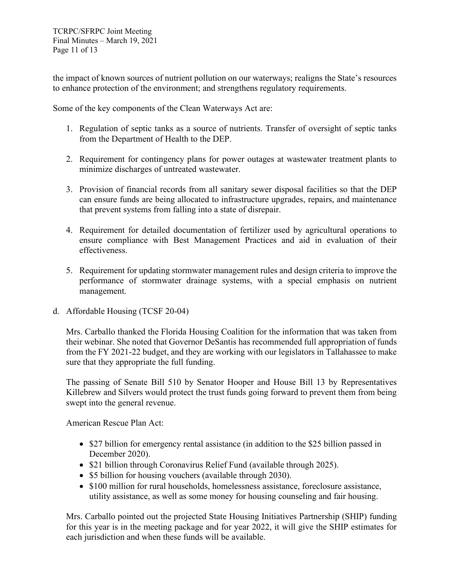the impact of known sources of nutrient pollution on our waterways; realigns the State's resources to enhance protection of the environment; and strengthens regulatory requirements.

Some of the key components of the Clean Waterways Act are:

- 1. Regulation of septic tanks as a source of nutrients. Transfer of oversight of septic tanks from the Department of Health to the DEP.
- 2. Requirement for contingency plans for power outages at wastewater treatment plants to minimize discharges of untreated wastewater.
- 3. Provision of financial records from all sanitary sewer disposal facilities so that the DEP can ensure funds are being allocated to infrastructure upgrades, repairs, and maintenance that prevent systems from falling into a state of disrepair.
- 4. Requirement for detailed documentation of fertilizer used by agricultural operations to ensure compliance with Best Management Practices and aid in evaluation of their effectiveness.
- 5. Requirement for updating stormwater management rules and design criteria to improve the performance of stormwater drainage systems, with a special emphasis on nutrient management.
- d. Affordable Housing (TCSF 20-04)

Mrs. Carballo thanked the Florida Housing Coalition for the information that was taken from their webinar. She noted that Governor DeSantis has recommended full appropriation of funds from the FY 2021-22 budget, and they are working with our legislators in Tallahassee to make sure that they appropriate the full funding.

The passing of Senate Bill 510 by Senator Hooper and House Bill 13 by Representatives Killebrew and Silvers would protect the trust funds going forward to prevent them from being swept into the general revenue.

American Rescue Plan Act:

- \$27 billion for emergency rental assistance (in addition to the \$25 billion passed in December 2020).
- \$21 billion through Coronavirus Relief Fund (available through 2025).
- \$5 billion for housing vouchers (available through 2030).
- \$100 million for rural households, homelessness assistance, foreclosure assistance, utility assistance, as well as some money for housing counseling and fair housing.

Mrs. Carballo pointed out the projected State Housing Initiatives Partnership (SHIP) funding for this year is in the meeting package and for year 2022, it will give the SHIP estimates for each jurisdiction and when these funds will be available.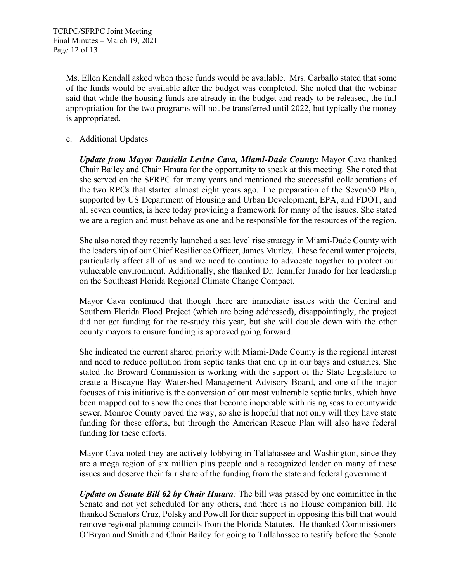Ms. Ellen Kendall asked when these funds would be available. Mrs. Carballo stated that some of the funds would be available after the budget was completed. She noted that the webinar said that while the housing funds are already in the budget and ready to be released, the full appropriation for the two programs will not be transferred until 2022, but typically the money is appropriated.

e. Additional Updates

*Update from Mayor Daniella Levine Cava, Miami-Dade County:* Mayor Cava thanked Chair Bailey and Chair Hmara for the opportunity to speak at this meeting. She noted that she served on the SFRPC for many years and mentioned the successful collaborations of the two RPCs that started almost eight years ago. The preparation of the Seven50 Plan, supported by US Department of Housing and Urban Development, EPA, and FDOT, and all seven counties, is here today providing a framework for many of the issues. She stated we are a region and must behave as one and be responsible for the resources of the region.

She also noted they recently launched a sea level rise strategy in Miami-Dade County with the leadership of our Chief Resilience Officer, James Murley. These federal water projects, particularly affect all of us and we need to continue to advocate together to protect our vulnerable environment. Additionally, she thanked Dr. Jennifer Jurado for her leadership on the Southeast Florida Regional Climate Change Compact.

Mayor Cava continued that though there are immediate issues with the Central and Southern Florida Flood Project (which are being addressed), disappointingly, the project did not get funding for the re-study this year, but she will double down with the other county mayors to ensure funding is approved going forward.

She indicated the current shared priority with Miami-Dade County is the regional interest and need to reduce pollution from septic tanks that end up in our bays and estuaries. She stated the Broward Commission is working with the support of the State Legislature to create a Biscayne Bay Watershed Management Advisory Board, and one of the major focuses of this initiative is the conversion of our most vulnerable septic tanks, which have been mapped out to show the ones that become inoperable with rising seas to countywide sewer. Monroe County paved the way, so she is hopeful that not only will they have state funding for these efforts, but through the American Rescue Plan will also have federal funding for these efforts.

Mayor Cava noted they are actively lobbying in Tallahassee and Washington, since they are a mega region of six million plus people and a recognized leader on many of these issues and deserve their fair share of the funding from the state and federal government.

*Update on Senate Bill 62 by Chair Hmara:* The bill was passed by one committee in the Senate and not yet scheduled for any others, and there is no House companion bill. He thanked Senators Cruz, Polsky and Powell for their support in opposing this bill that would remove regional planning councils from the Florida Statutes. He thanked Commissioners O'Bryan and Smith and Chair Bailey for going to Tallahassee to testify before the Senate